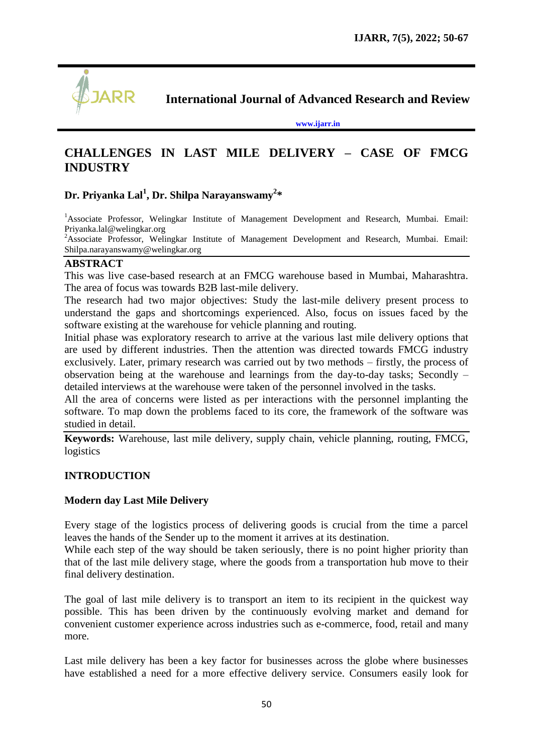

**International Journal of Advanced Research and Review**

**[www.ijarr.in](http://www.ijarr.in/)**

## **CHALLENGES IN LAST MILE DELIVERY – CASE OF FMCG INDUSTRY**

## **Dr. Priyanka Lal<sup>1</sup> , Dr. Shilpa Narayanswamy<sup>2</sup> \***

<sup>1</sup>Associate Professor, Welingkar Institute of Management Development and Research, Mumbai. Email: [Priyanka.lal@welingkar.org](mailto:Priyanka.lal@welingkar.org)

<sup>2</sup>Associate Professor, Welingkar Institute of Management Development and Research, Mumbai. Email: [Shilpa.narayanswamy@welingkar.org](mailto:Shilpa.narayanswamy@welingkar.org)

#### **ABSTRACT**

This was live case-based research at an FMCG warehouse based in Mumbai, Maharashtra. The area of focus was towards B2B last-mile delivery.

The research had two major objectives: Study the last-mile delivery present process to understand the gaps and shortcomings experienced. Also, focus on issues faced by the software existing at the warehouse for vehicle planning and routing.

Initial phase was exploratory research to arrive at the various last mile delivery options that are used by different industries. Then the attention was directed towards FMCG industry exclusively. Later, primary research was carried out by two methods – firstly, the process of observation being at the warehouse and learnings from the day-to-day tasks; Secondly – detailed interviews at the warehouse were taken of the personnel involved in the tasks.

All the area of concerns were listed as per interactions with the personnel implanting the software. To map down the problems faced to its core, the framework of the software was studied in detail.

**Keywords:** Warehouse, last mile delivery, supply chain, vehicle planning, routing, FMCG, logistics

## **INTRODUCTION**

## **Modern day Last Mile Delivery**

Every stage of the logistics process of delivering goods is crucial from the time a parcel leaves the hands of the Sender up to the moment it arrives at its destination.

While each step of the way should be taken seriously, there is no point higher priority than that of the last mile delivery stage, where the goods from a transportation hub move to their final delivery destination.

The goal of last mile delivery is to transport an item to its recipient in the quickest way possible. This has been driven by the continuously evolving market and demand for convenient customer experience across industries such as e-commerce, food, retail and many more.

Last mile delivery has been a key factor for businesses across the globe where businesses have established a need for a more effective delivery service. Consumers easily look for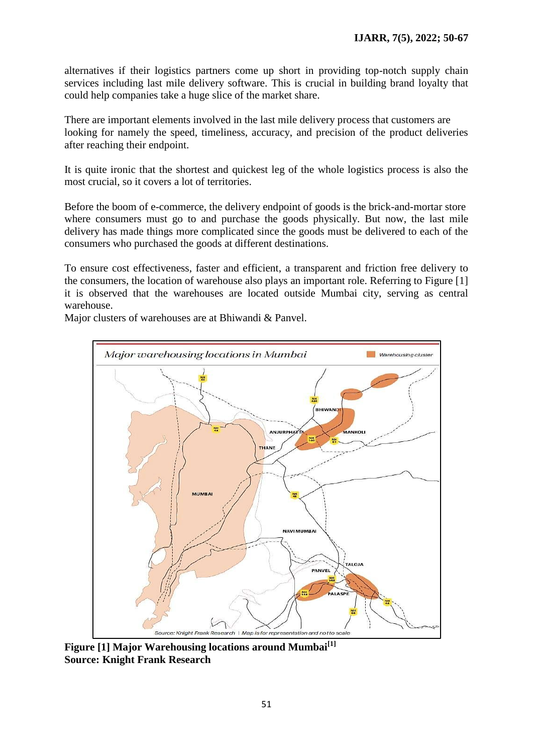alternatives if their logistics partners come up short in providing top-notch supply chain services including last mile delivery software. This is crucial in building brand loyalty that could help companies take a huge slice of the market share.

There are important elements involved in the last mile delivery process that customers are looking for namely the speed, timeliness, accuracy, and precision of the product deliveries after reaching their endpoint.

It is quite ironic that the shortest and quickest leg of the whole logistics process is also the most crucial, so it covers a lot of territories.

Before the boom of e-commerce, the delivery endpoint of goods is the brick-and-mortar store where consumers must go to and purchase the goods physically. But now, the last mile delivery has made things more complicated since the goods must be delivered to each of the consumers who purchased the goods at different destinations.

To ensure cost effectiveness, faster and efficient, a transparent and friction free delivery to the consumers, the location of warehouse also plays an important role. Referring to Figure [1] it is observed that the warehouses are located outside Mumbai city, serving as central warehouse.

Major clusters of warehouses are at Bhiwandi & Panvel.



**Figure [1] Major Warehousing locations around Mumbai[1] Source: [Knight Frank Research](https://content.knightfrank.com/research/2015/documents/en/india-warehousing-market-2020-indian-real-estate-residential-office-7280.pdf)**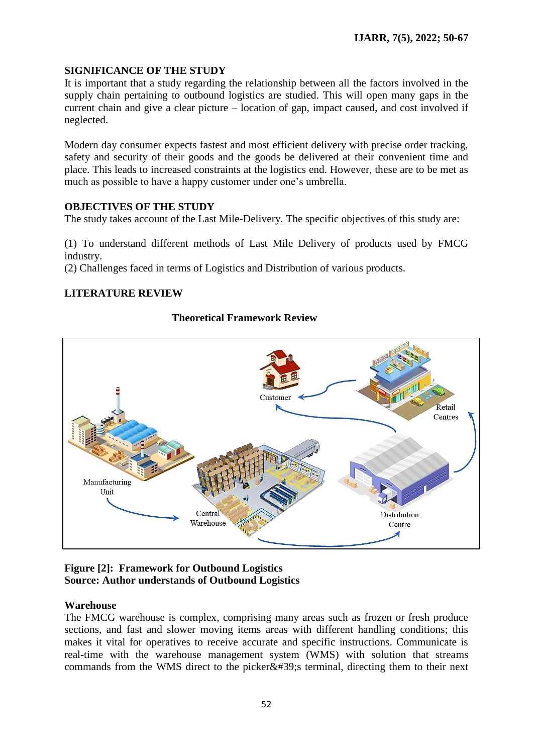## **SIGNIFICANCE OF THE STUDY**

It is important that a study regarding the relationship between all the factors involved in the supply chain pertaining to outbound logistics are studied. This will open many gaps in the current chain and give a clear picture – location of gap, impact caused, and cost involved if neglected.

Modern day consumer expects fastest and most efficient delivery with precise order tracking, safety and security of their goods and the goods be delivered at their convenient time and place. This leads to increased constraints at the logistics end. However, these are to be met as much as possible to have a happy customer under one"s umbrella.

#### **OBJECTIVES OF THE STUDY**

The study takes account of the Last Mile-Delivery. The specific objectives of this study are:

(1) To understand different methods of Last Mile Delivery of products used by FMCG industry.

(2) Challenges faced in terms of Logistics and Distribution of various products.

## **LITERATURE REVIEW**

#### **Theoretical Framework Review**



## **Figure [2]: Framework for Outbound Logistics Source: Author understands of Outbound Logistics**

#### **Warehouse**

The FMCG warehouse is complex, comprising many areas such as frozen or fresh produce sections, and fast and slower moving items areas with different handling conditions; this makes it vital for operatives to receive accurate and specific instructions. Communicate is real-time with the warehouse management system (WMS) with solution that streams commands from the WMS direct to the picker $&\#39$ ; terminal, directing them to their next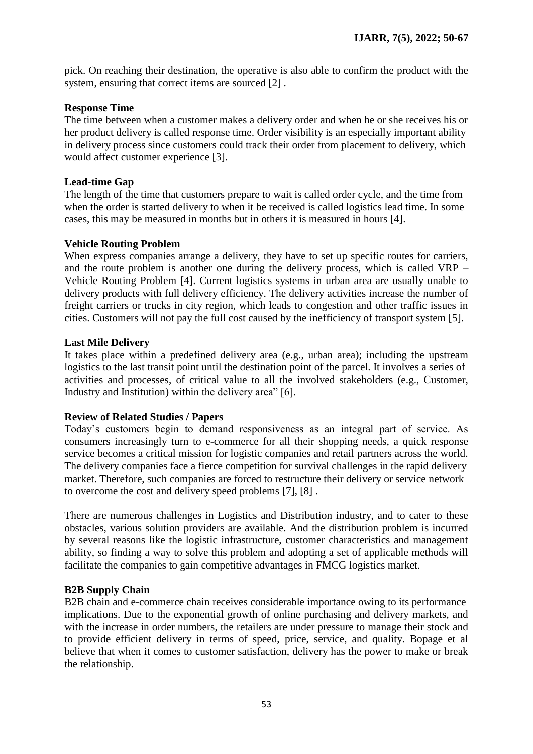pick. On reaching their destination, the operative is also able to confirm the product with the system, ensuring that correct items are sourced [2] .

#### **Response Time**

The time between when a customer makes a delivery order and when he or she receives his or her product delivery is called response time. Order visibility is an especially important ability in delivery process since customers could track their order from placement to delivery, which would affect customer experience [3].

## **Lead-time Gap**

The length of the time that customers prepare to wait is called order cycle, and the time from when the order is started delivery to when it be received is called logistics lead time. In some cases, this may be measured in months but in others it is measured in hours [4].

#### **Vehicle Routing Problem**

When express companies arrange a delivery, they have to set up specific routes for carriers, and the route problem is another one during the delivery process, which is called VRP – Vehicle Routing Problem [4]. Current logistics systems in urban area are usually unable to delivery products with full delivery efficiency. The delivery activities increase the number of freight carriers or trucks in city region, which leads to congestion and other traffic issues in cities. Customers will not pay the full cost caused by the inefficiency of transport system [5].

#### **Last Mile Delivery**

It takes place within a predefined delivery area (e.g., urban area); including the upstream logistics to the last transit point until the destination point of the parcel. It involves a series of activities and processes, of critical value to all the involved stakeholders (e.g., Customer, Industry and Institution) within the delivery area" [6].

#### **Review of Related Studies / Papers**

Today"s customers begin to demand responsiveness as an integral part of service. As consumers increasingly turn to e-commerce for all their shopping needs, a quick response service becomes a critical mission for logistic companies and retail partners across the world. The delivery companies face a fierce competition for survival challenges in the rapid delivery market. Therefore, such companies are forced to restructure their delivery or service network to overcome the cost and delivery speed problems [7], [8] .

There are numerous challenges in Logistics and Distribution industry, and to cater to these obstacles, various solution providers are available. And the distribution problem is incurred by several reasons like the logistic infrastructure, customer characteristics and management ability, so finding a way to solve this problem and adopting a set of applicable methods will facilitate the companies to gain competitive advantages in FMCG logistics market.

## **B2B Supply Chain**

B2B chain and e-commerce chain receives considerable importance owing to its performance implications. Due to the exponential growth of online purchasing and delivery markets, and with the increase in order numbers, the retailers are under pressure to manage their stock and to provide efficient delivery in terms of speed, price, service, and quality. Bopage et al believe that when it comes to customer satisfaction, delivery has the power to make or break the relationship.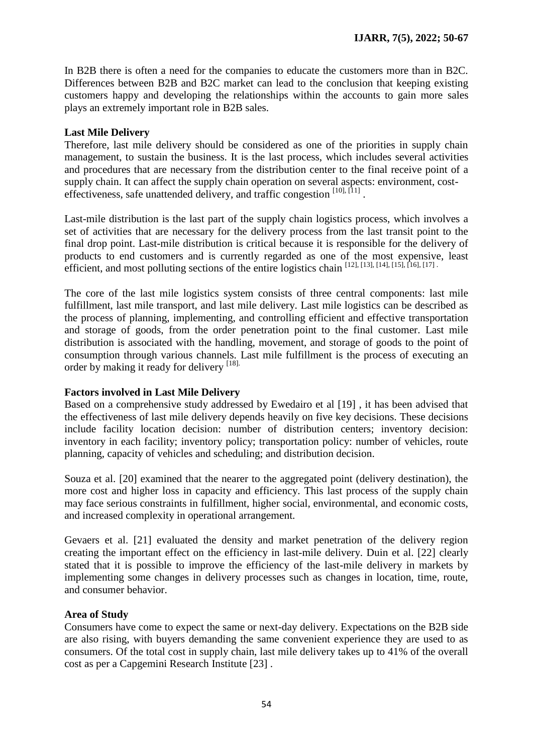In B2B there is often a need for the companies to educate the customers more than in B2C. Differences between B2B and B2C market can lead to the conclusion that keeping existing customers happy and developing the relationships within the accounts to gain more sales plays an extremely important role in B2B sales.

## **Last Mile Delivery**

Therefore, last mile delivery should be considered as one of the priorities in supply chain management, to sustain the business. It is the last process, which includes several activities and procedures that are necessary from the distribution center to the final receive point of a supply chain. It can affect the supply chain operation on several aspects: environment, costeffectiveness, safe unattended delivery, and traffic congestion [10], [11].

Last-mile distribution is the last part of the supply chain logistics process, which involves a set of activities that are necessary for the delivery process from the last transit point to the final drop point. Last-mile distribution is critical because it is responsible for the delivery of products to end customers and is currently regarded as one of the most expensive, least efficient, and most polluting sections of the entire logistics chain [12], [13], [14], [15], [16], [17] .

The core of the last mile logistics system consists of three central components: last mile fulfillment, last mile transport, and last mile delivery. Last mile logistics can be described as the process of planning, implementing, and controlling efficient and effective transportation and storage of goods, from the order penetration point to the final customer. Last mile distribution is associated with the handling, movement, and storage of goods to the point of consumption through various channels. Last mile fulfillment is the process of executing an order by making it ready for delivery [18].

## **Factors involved in Last Mile Delivery**

Based on a comprehensive study addressed by Ewedairo et al [19] , it has been advised that the effectiveness of last mile delivery depends heavily on five key decisions. These decisions include facility location decision: number of distribution centers; inventory decision: inventory in each facility; inventory policy; transportation policy: number of vehicles, route planning, capacity of vehicles and scheduling; and distribution decision.

Souza et al. [20] examined that the nearer to the aggregated point (delivery destination), the more cost and higher loss in capacity and efficiency. This last process of the supply chain may face serious constraints in fulfillment, higher social, environmental, and economic costs, and increased complexity in operational arrangement.

Gevaers et al. [21] evaluated the density and market penetration of the delivery region creating the important effect on the efficiency in last-mile delivery. Duin et al. [22] clearly stated that it is possible to improve the efficiency of the last-mile delivery in markets by implementing some changes in delivery processes such as changes in location, time, route, and consumer behavior.

## **Area of Study**

Consumers have come to expect the same or next-day delivery. Expectations on the B2B side are also rising, with buyers demanding the same convenient experience they are used to as consumers. Of the total cost in supply chain, last mile delivery takes up to 41% of the overall cost as per a Capgemini Research Institute [23] .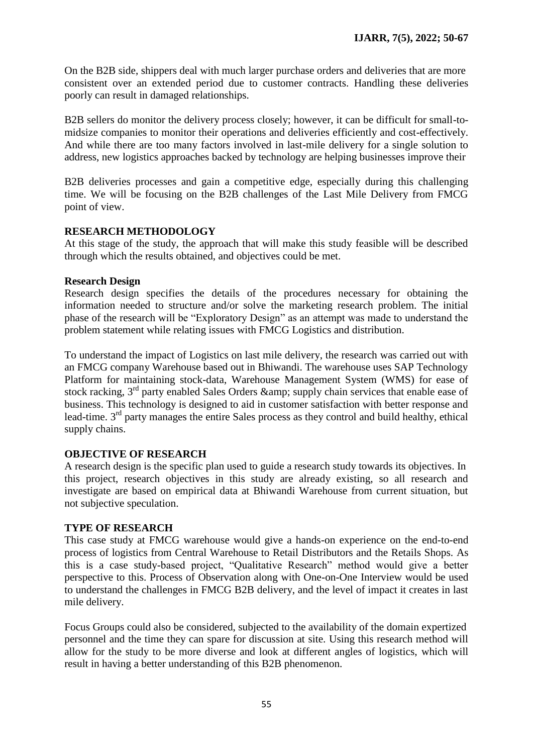On the B2B side, shippers deal with much larger purchase orders and deliveries that are more consistent over an extended period due to customer contracts. Handling these deliveries poorly can result in damaged relationships.

B2B sellers do monitor the delivery process closely; however, it can be difficult for small-tomidsize companies to monitor their operations and deliveries efficiently and cost-effectively. And while there are too many factors involved in last-mile delivery for a single solution to address, new logistics approaches backed by technology are helping businesses improve their

B2B deliveries processes and gain a competitive edge, especially during this challenging time. We will be focusing on the B2B challenges of the Last Mile Delivery from FMCG point of view.

#### **RESEARCH METHODOLOGY**

At this stage of the study, the approach that will make this study feasible will be described through which the results obtained, and objectives could be met.

#### **Research Design**

Research design specifies the details of the procedures necessary for obtaining the information needed to structure and/or solve the marketing research problem. The initial phase of the research will be "Exploratory Design" as an attempt was made to understand the problem statement while relating issues with FMCG Logistics and distribution.

To understand the impact of Logistics on last mile delivery, the research was carried out with an FMCG company Warehouse based out in Bhiwandi. The warehouse uses SAP Technology Platform for maintaining stock-data, Warehouse Management System (WMS) for ease of stock racking, 3<sup>rd</sup> party enabled Sales Orders & amp; supply chain services that enable ease of business. This technology is designed to aid in customer satisfaction with better response and lead-time.  $3<sup>rd</sup>$  party manages the entire Sales process as they control and build healthy, ethical supply chains.

## **OBJECTIVE OF RESEARCH**

A research design is the specific plan used to guide a research study towards its objectives. In this project, research objectives in this study are already existing, so all research and investigate are based on empirical data at Bhiwandi Warehouse from current situation, but not subjective speculation.

#### **TYPE OF RESEARCH**

This case study at FMCG warehouse would give a hands-on experience on the end-to-end process of logistics from Central Warehouse to Retail Distributors and the Retails Shops. As this is a case study-based project, "Qualitative Research" method would give a better perspective to this. Process of Observation along with One-on-One Interview would be used to understand the challenges in FMCG B2B delivery, and the level of impact it creates in last mile delivery.

Focus Groups could also be considered, subjected to the availability of the domain expertized personnel and the time they can spare for discussion at site. Using this research method will allow for the study to be more diverse and look at different angles of logistics, which will result in having a better understanding of this B2B phenomenon.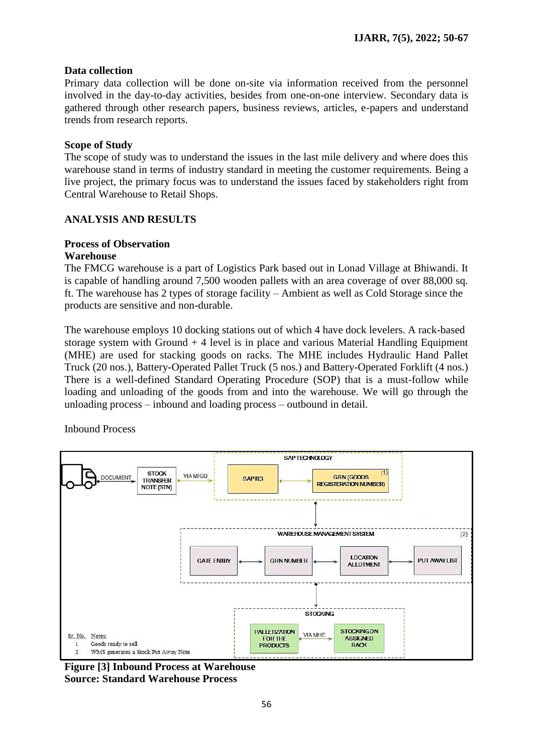## **Data collection**

Primary data collection will be done on-site via information received from the personnel involved in the day-to-day activities, besides from one-on-one interview. Secondary data is gathered through other research papers, business reviews, articles, e-papers and understand trends from research reports.

#### **Scope of Study**

The scope of study was to understand the issues in the last mile delivery and where does this warehouse stand in terms of industry standard in meeting the customer requirements. Being a live project, the primary focus was to understand the issues faced by stakeholders right from Central Warehouse to Retail Shops.

## **ANALYSIS AND RESULTS**

# **Process of Observation**

## **Warehouse**

The FMCG warehouse is a part of Logistics Park based out in Lonad Village at Bhiwandi. It is capable of handling around 7,500 wooden pallets with an area coverage of over 88,000 sq. ft. The warehouse has 2 types of storage facility – Ambient as well as Cold Storage since the products are sensitive and non-durable.

The warehouse employs 10 docking stations out of which 4 have dock levelers. A rack-based storage system with Ground + 4 level is in place and various Material Handling Equipment (MHE) are used for stacking goods on racks. The MHE includes Hydraulic Hand Pallet Truck (20 nos.), Battery-Operated Pallet Truck (5 nos.) and Battery-Operated Forklift (4 nos.) There is a well-defined Standard Operating Procedure (SOP) that is a must-follow while loading and unloading of the goods from and into the warehouse. We will go through the unloading process – inbound and loading process – outbound in detail.

Inbound Process



**Figure [3] Inbound Process at Warehouse Source: Standard Warehouse Process**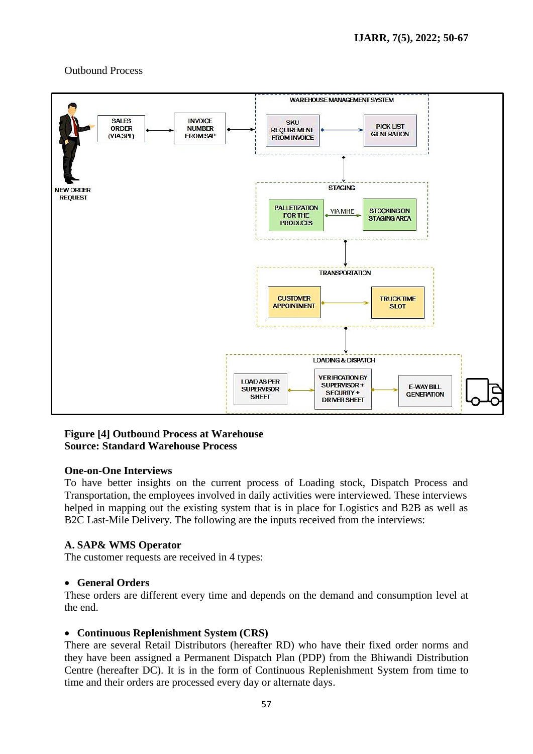#### Outbound Process



#### **Figure [4] Outbound Process at Warehouse Source: Standard Warehouse Process**

#### **One-on-One Interviews**

To have better insights on the current process of Loading stock, Dispatch Process and Transportation, the employees involved in daily activities were interviewed. These interviews helped in mapping out the existing system that is in place for Logistics and B2B as well as B2C Last-Mile Delivery. The following are the inputs received from the interviews:

#### **A. SAP& WMS Operator**

The customer requests are received in 4 types:

#### **General Orders**

These orders are different every time and depends on the demand and consumption level at the end.

#### **Continuous Replenishment System (CRS)**

There are several Retail Distributors (hereafter RD) who have their fixed order norms and they have been assigned a Permanent Dispatch Plan (PDP) from the Bhiwandi Distribution Centre (hereafter DC). It is in the form of Continuous Replenishment System from time to time and their orders are processed every day or alternate days.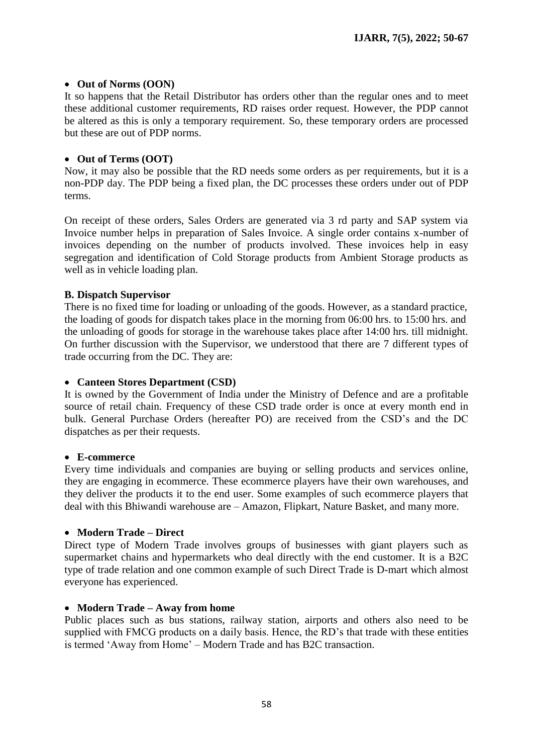#### • Out of Norms (OON)

It so happens that the Retail Distributor has orders other than the regular ones and to meet these additional customer requirements, RD raises order request. However, the PDP cannot be altered as this is only a temporary requirement. So, these temporary orders are processed but these are out of PDP norms.

#### **Out of Terms (OOT)**

Now, it may also be possible that the RD needs some orders as per requirements, but it is a non-PDP day. The PDP being a fixed plan, the DC processes these orders under out of PDP terms.

On receipt of these orders, Sales Orders are generated via 3 rd party and SAP system via Invoice number helps in preparation of Sales Invoice. A single order contains x-number of invoices depending on the number of products involved. These invoices help in easy segregation and identification of Cold Storage products from Ambient Storage products as well as in vehicle loading plan.

#### **B. Dispatch Supervisor**

There is no fixed time for loading or unloading of the goods. However, as a standard practice, the loading of goods for dispatch takes place in the morning from 06:00 hrs. to 15:00 hrs. and the unloading of goods for storage in the warehouse takes place after 14:00 hrs. till midnight. On further discussion with the Supervisor, we understood that there are 7 different types of trade occurring from the DC. They are:

#### **Canteen Stores Department (CSD)**

It is owned by the Government of India under the Ministry of Defence and are a profitable source of retail chain. Frequency of these CSD trade order is once at every month end in bulk. General Purchase Orders (hereafter PO) are received from the CSD"s and the DC dispatches as per their requests.

#### **E-commerce**

Every time individuals and companies are buying or selling products and services online, they are engaging in ecommerce. These ecommerce players have their own warehouses, and they deliver the products it to the end user. Some examples of such ecommerce players that deal with this Bhiwandi warehouse are – Amazon, Flipkart, Nature Basket, and many more.

#### **Modern Trade – Direct**

Direct type of Modern Trade involves groups of businesses with giant players such as supermarket chains and hypermarkets who deal directly with the end customer. It is a B2C type of trade relation and one common example of such Direct Trade is D-mart which almost everyone has experienced.

#### **Modern Trade – Away from home**

Public places such as bus stations, railway station, airports and others also need to be supplied with FMCG products on a daily basis. Hence, the RD's that trade with these entities is termed "Away from Home" – Modern Trade and has B2C transaction.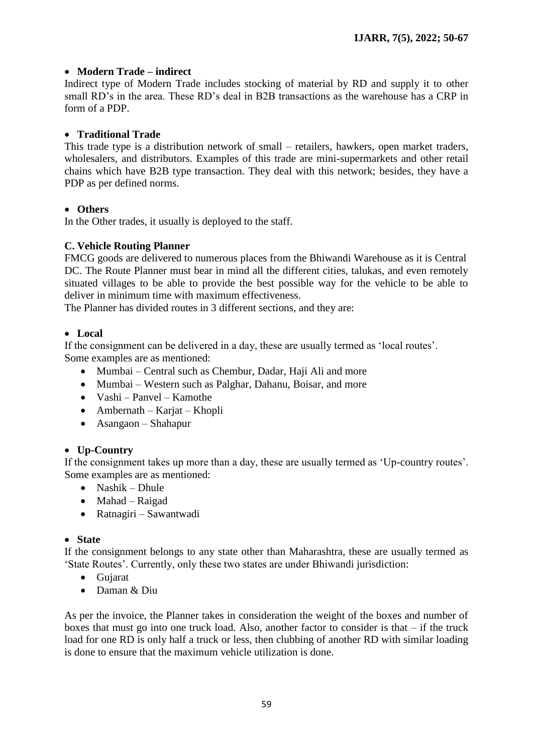## **Modern Trade – indirect**

Indirect type of Modern Trade includes stocking of material by RD and supply it to other small RD's in the area. These RD's deal in B2B transactions as the warehouse has a CRP in form of a PDP.

#### **Traditional Trade**

This trade type is a distribution network of small – retailers, hawkers, open market traders, wholesalers, and distributors. Examples of this trade are mini-supermarkets and other retail chains which have B2B type transaction. They deal with this network; besides, they have a PDP as per defined norms.

#### **Others**

In the Other trades, it usually is deployed to the staff.

#### **C. Vehicle Routing Planner**

FMCG goods are delivered to numerous places from the Bhiwandi Warehouse as it is Central DC. The Route Planner must bear in mind all the different cities, talukas, and even remotely situated villages to be able to provide the best possible way for the vehicle to be able to deliver in minimum time with maximum effectiveness.

The Planner has divided routes in 3 different sections, and they are:

#### **Local**

If the consignment can be delivered in a day, these are usually termed as "local routes". Some examples are as mentioned:

- Mumbai Central such as Chembur, Dadar, Haji Ali and more
- Mumbai Western such as Palghar, Dahanu, Boisar, and more
- Vashi Panvel Kamothe
- Ambernath Karjat Khopli
- Asangaon Shahapur

## **Up-Country**

If the consignment takes up more than a day, these are usually termed as 'Up-country routes'. Some examples are as mentioned:

- Nashik Dhule
- Mahad Raigad
- Ratnagiri Sawantwadi

#### **State**

If the consignment belongs to any state other than Maharashtra, these are usually termed as "State Routes". Currently, only these two states are under Bhiwandi jurisdiction:

- Gujarat
- Daman & Diu

As per the invoice, the Planner takes in consideration the weight of the boxes and number of boxes that must go into one truck load. Also, another factor to consider is that – if the truck load for one RD is only half a truck or less, then clubbing of another RD with similar loading is done to ensure that the maximum vehicle utilization is done.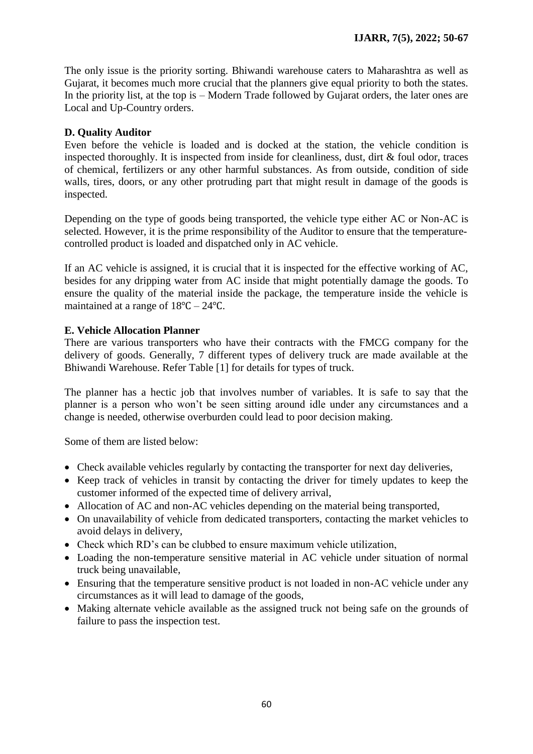The only issue is the priority sorting. Bhiwandi warehouse caters to Maharashtra as well as Gujarat, it becomes much more crucial that the planners give equal priority to both the states. In the priority list, at the top is – Modern Trade followed by Gujarat orders, the later ones are Local and Up-Country orders.

## **D. Quality Auditor**

Even before the vehicle is loaded and is docked at the station, the vehicle condition is inspected thoroughly. It is inspected from inside for cleanliness, dust, dirt & foul odor, traces of chemical, fertilizers or any other harmful substances. As from outside, condition of side walls, tires, doors, or any other protruding part that might result in damage of the goods is inspected.

Depending on the type of goods being transported, the vehicle type either AC or Non-AC is selected. However, it is the prime responsibility of the Auditor to ensure that the temperaturecontrolled product is loaded and dispatched only in AC vehicle.

If an AC vehicle is assigned, it is crucial that it is inspected for the effective working of AC, besides for any dripping water from AC inside that might potentially damage the goods. To ensure the quality of the material inside the package, the temperature inside the vehicle is maintained at a range of 18℃ – 24℃.

## **E. Vehicle Allocation Planner**

There are various transporters who have their contracts with the FMCG company for the delivery of goods. Generally, 7 different types of delivery truck are made available at the Bhiwandi Warehouse. Refer Table [1] for details for types of truck.

The planner has a hectic job that involves number of variables. It is safe to say that the planner is a person who won"t be seen sitting around idle under any circumstances and a change is needed, otherwise overburden could lead to poor decision making.

Some of them are listed below:

- Check available vehicles regularly by contacting the transporter for next day deliveries,
- Keep track of vehicles in transit by contacting the driver for timely updates to keep the customer informed of the expected time of delivery arrival,
- Allocation of AC and non-AC vehicles depending on the material being transported,
- On unavailability of vehicle from dedicated transporters, contacting the market vehicles to avoid delays in delivery,
- Check which RD's can be clubbed to ensure maximum vehicle utilization,
- Loading the non-temperature sensitive material in AC vehicle under situation of normal truck being unavailable,
- Ensuring that the temperature sensitive product is not loaded in non-AC vehicle under any circumstances as it will lead to damage of the goods,
- Making alternate vehicle available as the assigned truck not being safe on the grounds of failure to pass the inspection test.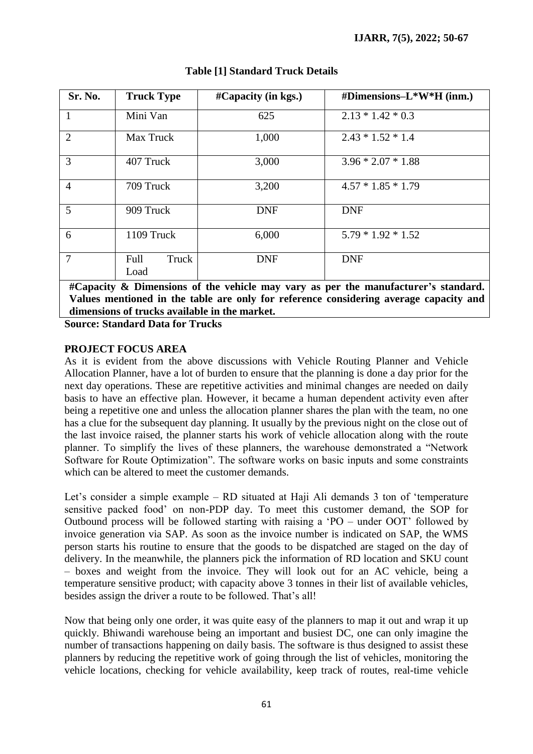| Sr. No.                                                                           | <b>Truck Type</b>     | $\#$ Capacity (in kgs.) | #Dimensions-L*W*H (inm.) |
|-----------------------------------------------------------------------------------|-----------------------|-------------------------|--------------------------|
|                                                                                   | Mini Van              | 625                     | $2.13 * 1.42 * 0.3$      |
| $\overline{2}$                                                                    | <b>Max Truck</b>      | 1,000                   | $2.43 * 1.52 * 1.4$      |
| 3                                                                                 | 407 Truck             | 3,000                   | $3.96 * 2.07 * 1.88$     |
| $\overline{4}$                                                                    | 709 Truck             | 3,200                   | $4.57 * 1.85 * 1.79$     |
| 5                                                                                 | 909 Truck             | <b>DNF</b>              | <b>DNF</b>               |
| 6                                                                                 | 1109 Truck            | 6,000                   | $5.79 * 1.92 * 1.52$     |
| $\overline{7}$                                                                    | Full<br>Truck<br>Load | <b>DNF</b>              | <b>DNF</b>               |
| #Canagity & Dimensions of the vehicle may vany as non-the manufacturer's standard |                       |                         |                          |

## **Table [1] Standard Truck Details**

**#Capacity & Dimensions of the vehicle may vary as per the manufacturer's standard. Values mentioned in the table are only for reference considering average capacity and dimensions of trucks available in the market.**

**Source: Standard Data for Trucks**

#### **PROJECT FOCUS AREA**

As it is evident from the above discussions with Vehicle Routing Planner and Vehicle Allocation Planner, have a lot of burden to ensure that the planning is done a day prior for the next day operations. These are repetitive activities and minimal changes are needed on daily basis to have an effective plan. However, it became a human dependent activity even after being a repetitive one and unless the allocation planner shares the plan with the team, no one has a clue for the subsequent day planning. It usually by the previous night on the close out of the last invoice raised, the planner starts his work of vehicle allocation along with the route planner. To simplify the lives of these planners, the warehouse demonstrated a "Network Software for Route Optimization". The software works on basic inputs and some constraints which can be altered to meet the customer demands.

Let's consider a simple example – RD situated at Haji Ali demands 3 ton of 'temperature sensitive packed food" on non-PDP day. To meet this customer demand, the SOP for Outbound process will be followed starting with raising a "PO – under OOT" followed by invoice generation via SAP. As soon as the invoice number is indicated on SAP, the WMS person starts his routine to ensure that the goods to be dispatched are staged on the day of delivery. In the meanwhile, the planners pick the information of RD location and SKU count – boxes and weight from the invoice. They will look out for an AC vehicle, being a temperature sensitive product; with capacity above 3 tonnes in their list of available vehicles, besides assign the driver a route to be followed. That's all!

Now that being only one order, it was quite easy of the planners to map it out and wrap it up quickly. Bhiwandi warehouse being an important and busiest DC, one can only imagine the number of transactions happening on daily basis. The software is thus designed to assist these planners by reducing the repetitive work of going through the list of vehicles, monitoring the vehicle locations, checking for vehicle availability, keep track of routes, real-time vehicle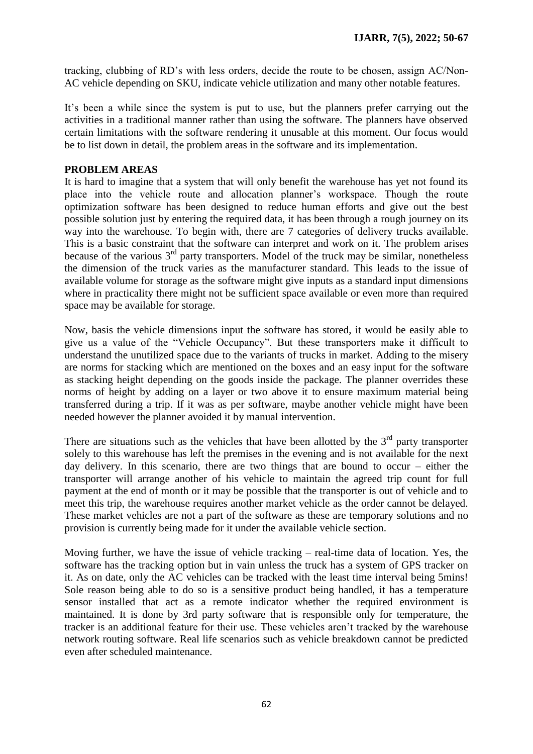tracking, clubbing of RD"s with less orders, decide the route to be chosen, assign AC/Non-AC vehicle depending on SKU, indicate vehicle utilization and many other notable features.

It's been a while since the system is put to use, but the planners prefer carrying out the activities in a traditional manner rather than using the software. The planners have observed certain limitations with the software rendering it unusable at this moment. Our focus would be to list down in detail, the problem areas in the software and its implementation.

#### **PROBLEM AREAS**

It is hard to imagine that a system that will only benefit the warehouse has yet not found its place into the vehicle route and allocation planner"s workspace. Though the route optimization software has been designed to reduce human efforts and give out the best possible solution just by entering the required data, it has been through a rough journey on its way into the warehouse. To begin with, there are 7 categories of delivery trucks available. This is a basic constraint that the software can interpret and work on it. The problem arises because of the various  $3<sup>rd</sup>$  party transporters. Model of the truck may be similar, nonetheless the dimension of the truck varies as the manufacturer standard. This leads to the issue of available volume for storage as the software might give inputs as a standard input dimensions where in practicality there might not be sufficient space available or even more than required space may be available for storage.

Now, basis the vehicle dimensions input the software has stored, it would be easily able to give us a value of the "Vehicle Occupancy". But these transporters make it difficult to understand the unutilized space due to the variants of trucks in market. Adding to the misery are norms for stacking which are mentioned on the boxes and an easy input for the software as stacking height depending on the goods inside the package. The planner overrides these norms of height by adding on a layer or two above it to ensure maximum material being transferred during a trip. If it was as per software, maybe another vehicle might have been needed however the planner avoided it by manual intervention.

There are situations such as the vehicles that have been allotted by the  $3<sup>rd</sup>$  party transporter solely to this warehouse has left the premises in the evening and is not available for the next day delivery. In this scenario, there are two things that are bound to occur – either the transporter will arrange another of his vehicle to maintain the agreed trip count for full payment at the end of month or it may be possible that the transporter is out of vehicle and to meet this trip, the warehouse requires another market vehicle as the order cannot be delayed. These market vehicles are not a part of the software as these are temporary solutions and no provision is currently being made for it under the available vehicle section.

Moving further, we have the issue of vehicle tracking – real-time data of location. Yes, the software has the tracking option but in vain unless the truck has a system of GPS tracker on it. As on date, only the AC vehicles can be tracked with the least time interval being 5mins! Sole reason being able to do so is a sensitive product being handled, it has a temperature sensor installed that act as a remote indicator whether the required environment is maintained. It is done by 3rd party software that is responsible only for temperature, the tracker is an additional feature for their use. These vehicles aren"t tracked by the warehouse network routing software. Real life scenarios such as vehicle breakdown cannot be predicted even after scheduled maintenance.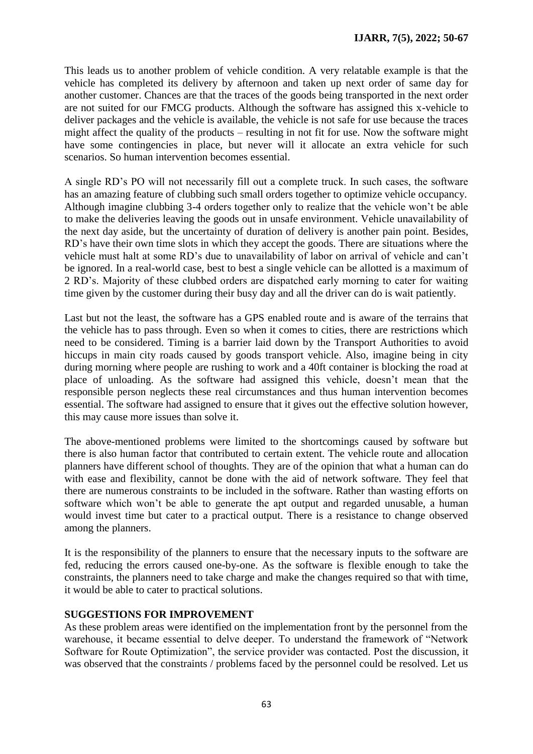This leads us to another problem of vehicle condition. A very relatable example is that the vehicle has completed its delivery by afternoon and taken up next order of same day for another customer. Chances are that the traces of the goods being transported in the next order are not suited for our FMCG products. Although the software has assigned this x-vehicle to deliver packages and the vehicle is available, the vehicle is not safe for use because the traces might affect the quality of the products – resulting in not fit for use. Now the software might have some contingencies in place, but never will it allocate an extra vehicle for such scenarios. So human intervention becomes essential.

A single RD"s PO will not necessarily fill out a complete truck. In such cases, the software has an amazing feature of clubbing such small orders together to optimize vehicle occupancy. Although imagine clubbing 3-4 orders together only to realize that the vehicle won"t be able to make the deliveries leaving the goods out in unsafe environment. Vehicle unavailability of the next day aside, but the uncertainty of duration of delivery is another pain point. Besides, RD"s have their own time slots in which they accept the goods. There are situations where the vehicle must halt at some RD"s due to unavailability of labor on arrival of vehicle and can"t be ignored. In a real-world case, best to best a single vehicle can be allotted is a maximum of 2 RD"s. Majority of these clubbed orders are dispatched early morning to cater for waiting time given by the customer during their busy day and all the driver can do is wait patiently.

Last but not the least, the software has a GPS enabled route and is aware of the terrains that the vehicle has to pass through. Even so when it comes to cities, there are restrictions which need to be considered. Timing is a barrier laid down by the Transport Authorities to avoid hiccups in main city roads caused by goods transport vehicle. Also, imagine being in city during morning where people are rushing to work and a 40ft container is blocking the road at place of unloading. As the software had assigned this vehicle, doesn"t mean that the responsible person neglects these real circumstances and thus human intervention becomes essential. The software had assigned to ensure that it gives out the effective solution however, this may cause more issues than solve it.

The above-mentioned problems were limited to the shortcomings caused by software but there is also human factor that contributed to certain extent. The vehicle route and allocation planners have different school of thoughts. They are of the opinion that what a human can do with ease and flexibility, cannot be done with the aid of network software. They feel that there are numerous constraints to be included in the software. Rather than wasting efforts on software which won't be able to generate the apt output and regarded unusable, a human would invest time but cater to a practical output. There is a resistance to change observed among the planners.

It is the responsibility of the planners to ensure that the necessary inputs to the software are fed, reducing the errors caused one-by-one. As the software is flexible enough to take the constraints, the planners need to take charge and make the changes required so that with time, it would be able to cater to practical solutions.

## **SUGGESTIONS FOR IMPROVEMENT**

As these problem areas were identified on the implementation front by the personnel from the warehouse, it became essential to delve deeper. To understand the framework of "Network Software for Route Optimization", the service provider was contacted. Post the discussion, it was observed that the constraints / problems faced by the personnel could be resolved. Let us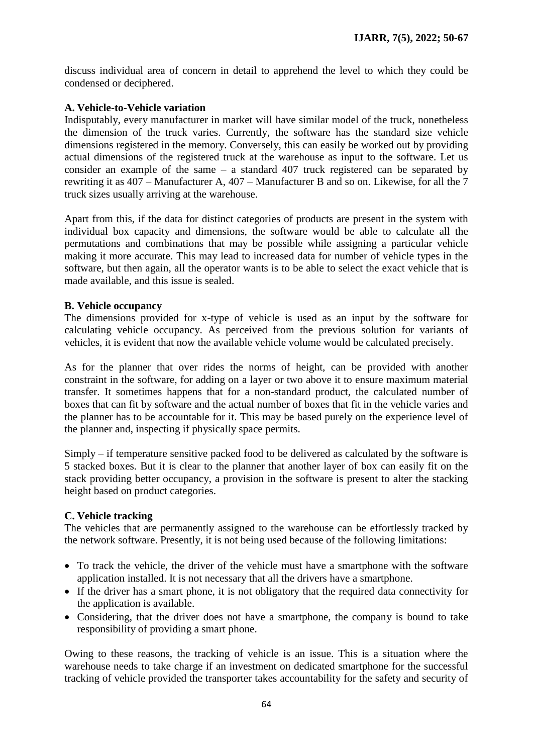discuss individual area of concern in detail to apprehend the level to which they could be condensed or deciphered.

## **A. Vehicle-to-Vehicle variation**

Indisputably, every manufacturer in market will have similar model of the truck, nonetheless the dimension of the truck varies. Currently, the software has the standard size vehicle dimensions registered in the memory. Conversely, this can easily be worked out by providing actual dimensions of the registered truck at the warehouse as input to the software. Let us consider an example of the same – a standard 407 truck registered can be separated by rewriting it as 407 – Manufacturer A, 407 – Manufacturer B and so on. Likewise, for all the 7 truck sizes usually arriving at the warehouse.

Apart from this, if the data for distinct categories of products are present in the system with individual box capacity and dimensions, the software would be able to calculate all the permutations and combinations that may be possible while assigning a particular vehicle making it more accurate. This may lead to increased data for number of vehicle types in the software, but then again, all the operator wants is to be able to select the exact vehicle that is made available, and this issue is sealed.

## **B. Vehicle occupancy**

The dimensions provided for x-type of vehicle is used as an input by the software for calculating vehicle occupancy. As perceived from the previous solution for variants of vehicles, it is evident that now the available vehicle volume would be calculated precisely.

As for the planner that over rides the norms of height, can be provided with another constraint in the software, for adding on a layer or two above it to ensure maximum material transfer. It sometimes happens that for a non-standard product, the calculated number of boxes that can fit by software and the actual number of boxes that fit in the vehicle varies and the planner has to be accountable for it. This may be based purely on the experience level of the planner and, inspecting if physically space permits.

Simply – if temperature sensitive packed food to be delivered as calculated by the software is 5 stacked boxes. But it is clear to the planner that another layer of box can easily fit on the stack providing better occupancy, a provision in the software is present to alter the stacking height based on product categories.

## **C. Vehicle tracking**

The vehicles that are permanently assigned to the warehouse can be effortlessly tracked by the network software. Presently, it is not being used because of the following limitations:

- To track the vehicle, the driver of the vehicle must have a smartphone with the software application installed. It is not necessary that all the drivers have a smartphone.
- If the driver has a smart phone, it is not obligatory that the required data connectivity for the application is available.
- Considering, that the driver does not have a smartphone, the company is bound to take responsibility of providing a smart phone.

Owing to these reasons, the tracking of vehicle is an issue. This is a situation where the warehouse needs to take charge if an investment on dedicated smartphone for the successful tracking of vehicle provided the transporter takes accountability for the safety and security of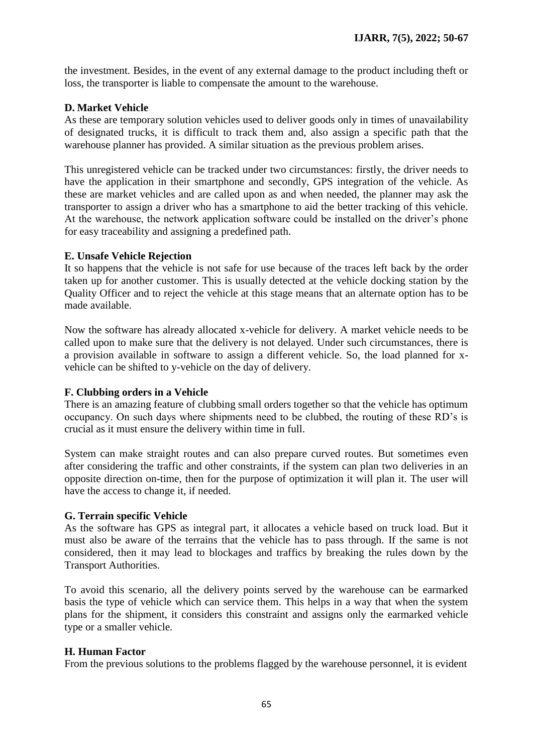the investment. Besides, in the event of any external damage to the product including theft or loss, the transporter is liable to compensate the amount to the warehouse.

## **D. Market Vehicle**

As these are temporary solution vehicles used to deliver goods only in times of unavailability of designated trucks, it is difficult to track them and, also assign a specific path that the warehouse planner has provided. A similar situation as the previous problem arises.

This unregistered vehicle can be tracked under two circumstances: firstly, the driver needs to have the application in their smartphone and secondly, GPS integration of the vehicle. As these are market vehicles and are called upon as and when needed, the planner may ask the transporter to assign a driver who has a smartphone to aid the better tracking of this vehicle. At the warehouse, the network application software could be installed on the driver"s phone for easy traceability and assigning a predefined path.

## **E. Unsafe Vehicle Rejection**

It so happens that the vehicle is not safe for use because of the traces left back by the order taken up for another customer. This is usually detected at the vehicle docking station by the Quality Officer and to reject the vehicle at this stage means that an alternate option has to be made available.

Now the software has already allocated x-vehicle for delivery. A market vehicle needs to be called upon to make sure that the delivery is not delayed. Under such circumstances, there is a provision available in software to assign a different vehicle. So, the load planned for xvehicle can be shifted to y-vehicle on the day of delivery.

## **F. Clubbing orders in a Vehicle**

There is an amazing feature of clubbing small orders together so that the vehicle has optimum occupancy. On such days where shipments need to be clubbed, the routing of these RD"s is crucial as it must ensure the delivery within time in full.

System can make straight routes and can also prepare curved routes. But sometimes even after considering the traffic and other constraints, if the system can plan two deliveries in an opposite direction on-time, then for the purpose of optimization it will plan it. The user will have the access to change it, if needed.

#### **G. Terrain specific Vehicle**

As the software has GPS as integral part, it allocates a vehicle based on truck load. But it must also be aware of the terrains that the vehicle has to pass through. If the same is not considered, then it may lead to blockages and traffics by breaking the rules down by the Transport Authorities.

To avoid this scenario, all the delivery points served by the warehouse can be earmarked basis the type of vehicle which can service them. This helps in a way that when the system plans for the shipment, it considers this constraint and assigns only the earmarked vehicle type or a smaller vehicle.

#### **H. Human Factor**

From the previous solutions to the problems flagged by the warehouse personnel, it is evident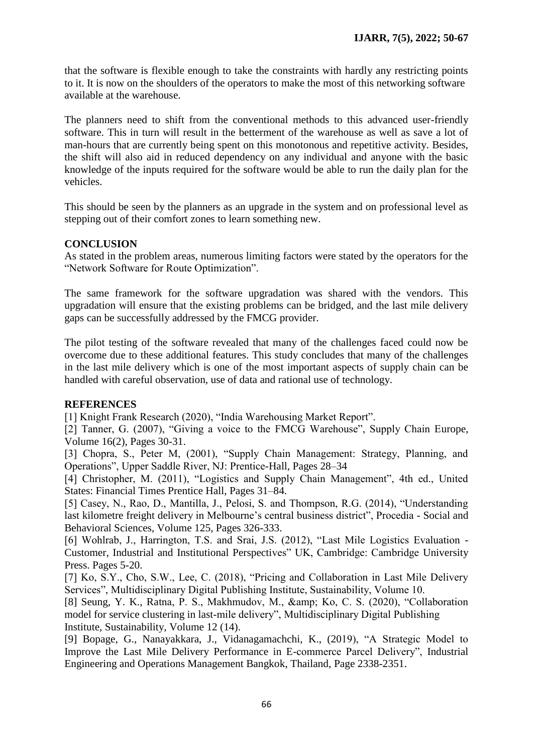that the software is flexible enough to take the constraints with hardly any restricting points to it. It is now on the shoulders of the operators to make the most of this networking software available at the warehouse.

The planners need to shift from the conventional methods to this advanced user-friendly software. This in turn will result in the betterment of the warehouse as well as save a lot of man-hours that are currently being spent on this monotonous and repetitive activity. Besides, the shift will also aid in reduced dependency on any individual and anyone with the basic knowledge of the inputs required for the software would be able to run the daily plan for the vehicles.

This should be seen by the planners as an upgrade in the system and on professional level as stepping out of their comfort zones to learn something new.

#### **CONCLUSION**

As stated in the problem areas, numerous limiting factors were stated by the operators for the "Network Software for Route Optimization".

The same framework for the software upgradation was shared with the vendors. This upgradation will ensure that the existing problems can be bridged, and the last mile delivery gaps can be successfully addressed by the FMCG provider.

The pilot testing of the software revealed that many of the challenges faced could now be overcome due to these additional features. This study concludes that many of the challenges in the last mile delivery which is one of the most important aspects of supply chain can be handled with careful observation, use of data and rational use of technology.

#### **REFERENCES**

[1] Knight Frank Research (2020), "India Warehousing Market Report".

[2] Tanner, G. (2007), "Giving a voice to the FMCG Warehouse", Supply Chain Europe, Volume 16(2), Pages 30-31.

[3] Chopra, S., Peter M, (2001), "Supply Chain Management: Strategy, Planning, and Operations", Upper Saddle River, NJ: Prentice-Hall, Pages 28–34

[4] Christopher, M. (2011), "Logistics and Supply Chain Management", 4th ed., United States: Financial Times Prentice Hall, Pages 31–84.

[5] Casey, N., Rao, D., Mantilla, J., Pelosi, S. and Thompson, R.G. (2014), "Understanding last kilometre freight delivery in Melbourne's central business district", Procedia - Social and Behavioral Sciences, Volume 125, Pages 326-333.

[6] Wohlrab, J., Harrington, T.S. and Srai, J.S. (2012), "Last Mile Logistics Evaluation - Customer, Industrial and Institutional Perspectives" UK, Cambridge: Cambridge University Press. Pages 5-20.

[7] Ko, S.Y., Cho, S.W., Lee, C. (2018), "Pricing and Collaboration in Last Mile Delivery Services", Multidisciplinary Digital Publishing Institute, Sustainability, Volume 10.

[8] Seung, Y. K., Ratna, P. S., Makhmudov, M., & amp; Ko, C. S. (2020), "Collaboration model for service clustering in last-mile delivery", Multidisciplinary Digital Publishing Institute, Sustainability, Volume 12 (14).

[9] Bopage, G., Nanayakkara, J., Vidanagamachchi, K., (2019), "A Strategic Model to Improve the Last Mile Delivery Performance in E-commerce Parcel Delivery", Industrial Engineering and Operations Management Bangkok, Thailand, Page 2338-2351.